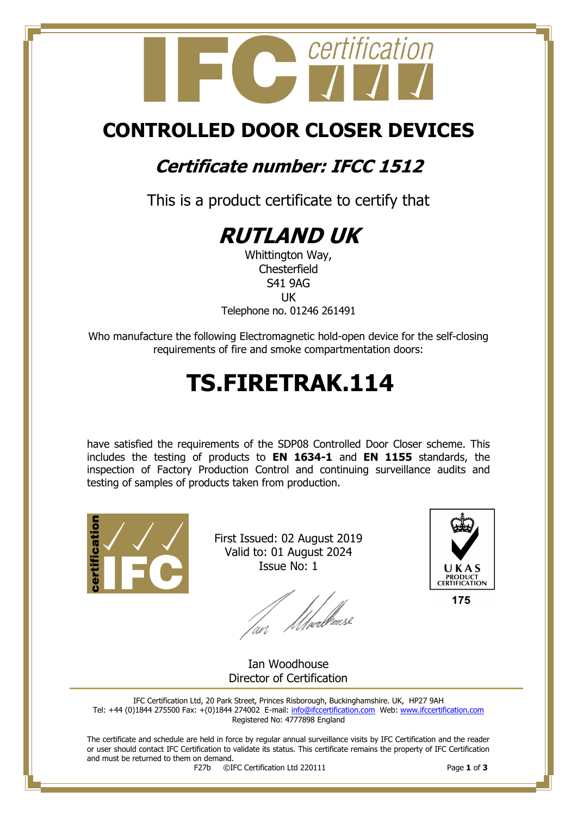

## **CONTROLLED DOOR CLOSER DEVICES**

### **Certificate number: IFCC 1512**

This is a product certificate to certify that



Whittington Way, **Chesterfield** S41 9AG UK Telephone no. 01246 261491

Who manufacture the following Electromagnetic hold-open device for the self-closing requirements of fire and smoke compartmentation doors:

# **TS.FIRETRAK.114**

have satisfied the requirements of the SDP08 Controlled Door Closer scheme. This includes the testing of products to **EN 1634-1** and **EN 1155** standards, the inspection of Factory Production Control and continuing surveillance audits and testing of samples of products taken from production.



First Issued: 02 August 2019 Valid to: 01 August 2024 Issue No: 1

/<br>///welliaus2



175

Ian Woodhouse Director of Certification

IFC Certification Ltd, 20 Park Street, Princes Risborough, Buckinghamshire. UK, HP27 9AH Tel: +44 (0)1844 275500 Fax: +(0)1844 274002 E-mail[: info@ifccertification.com](mailto:info@ifccertification.com) Web: [www.ifccertification.com](http://www.ifccertification.com/) Registered No: 4777898 England

The certificate and schedule are held in force by regular annual surveillance visits by IFC Certification and the reader or user should contact IFC Certification to validate its status. This certificate remains the property of IFC Certification and must be returned to them on demand.<br> $F27b$   $\odot$ I

F27b ©IFC Certification Ltd 220111 Page **1** of **3**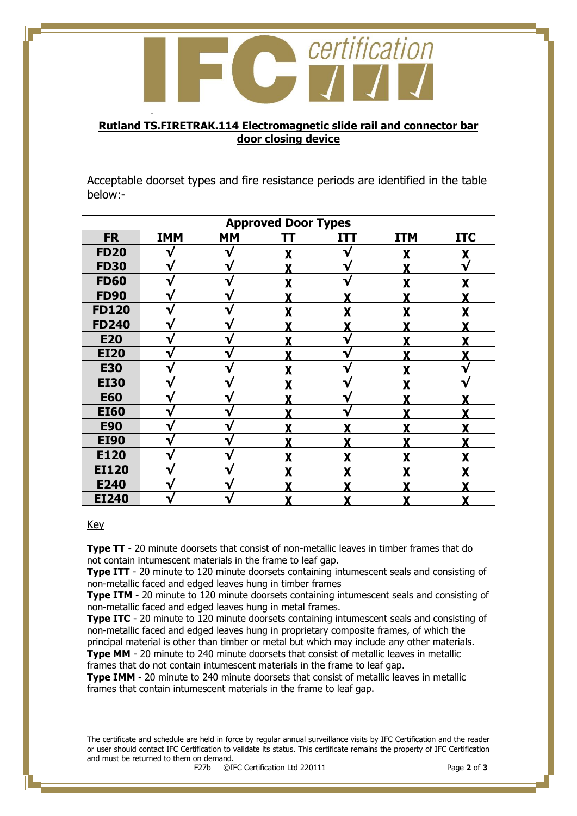

#### **Rutland TS.FIRETRAK.114 Electromagnetic slide rail and connector bar door closing device**

Acceptable doorset types and fire resistance periods are identified in the table below:-

| <b>Approved Door Types</b> |            |              |    |            |            |            |  |  |  |
|----------------------------|------------|--------------|----|------------|------------|------------|--|--|--|
| <b>FR</b>                  | <b>IMM</b> | <b>MM</b>    | TΤ | <b>ITT</b> | <b>ITM</b> | <b>ITC</b> |  |  |  |
| <b>FD20</b>                |            | v            |    | ٦۷         |            |            |  |  |  |
| <b>FD30</b>                | V          | v            |    | V          | v          |            |  |  |  |
| <b>FD60</b>                | V          | ∿            |    | V          | v          |            |  |  |  |
| <b>FD90</b>                | V          | ν            |    | v          | Y          |            |  |  |  |
| <b>FD120</b>               | V          | v            | v  | Y          | v          |            |  |  |  |
| <b>FD240</b>               | V          | $\mathbf{v}$ |    | Y          | v          |            |  |  |  |
| <b>E20</b>                 | V          | ٦            |    | ٦ν         |            |            |  |  |  |
| <b>EI20</b>                | V          |              |    | ٦.         |            |            |  |  |  |
| <b>E30</b>                 | ٦.         | v            |    | ٦.         |            |            |  |  |  |
| <b>EI30</b>                | V          | ٦ν           |    | V          |            |            |  |  |  |
| <b>E60</b>                 | √          | V            |    | ₩          |            |            |  |  |  |
| <b>EI60</b>                | V          | ٦            |    | ٦          | v          |            |  |  |  |
| <b>E90</b>                 | V          | ∿            |    | v          | v          |            |  |  |  |
| <b>EI90</b>                |            |              |    |            | v          |            |  |  |  |
| E120                       | V          |              |    |            | v          |            |  |  |  |
| <b>EI120</b>               |            |              |    |            |            |            |  |  |  |
| E240                       | v          |              |    |            |            |            |  |  |  |
| <b>EI240</b>               | V          |              |    | X          | Y          |            |  |  |  |

Key

**Type TT** - 20 minute doorsets that consist of non-metallic leaves in timber frames that do not contain intumescent materials in the frame to leaf gap.

**Type ITT** - 20 minute to 120 minute doorsets containing intumescent seals and consisting of non-metallic faced and edged leaves hung in timber frames

**Type ITM** - 20 minute to 120 minute doorsets containing intumescent seals and consisting of non-metallic faced and edged leaves hung in metal frames.

**Type ITC** - 20 minute to 120 minute doorsets containing intumescent seals and consisting of non-metallic faced and edged leaves hung in proprietary composite frames, of which the principal material is other than timber or metal but which may include any other materials. **Type MM** - 20 minute to 240 minute doorsets that consist of metallic leaves in metallic frames that do not contain intumescent materials in the frame to leaf gap.

**Type IMM** - 20 minute to 240 minute doorsets that consist of metallic leaves in metallic frames that contain intumescent materials in the frame to leaf gap.

The certificate and schedule are held in force by regular annual surveillance visits by IFC Certification and the reader or user should contact IFC Certification to validate its status. This certificate remains the property of IFC Certification and must be returned to them on demand.<br> $F27b$   $\odot$ I

F27b ©IFC Certification Ltd 220111 Page **2** of **3**